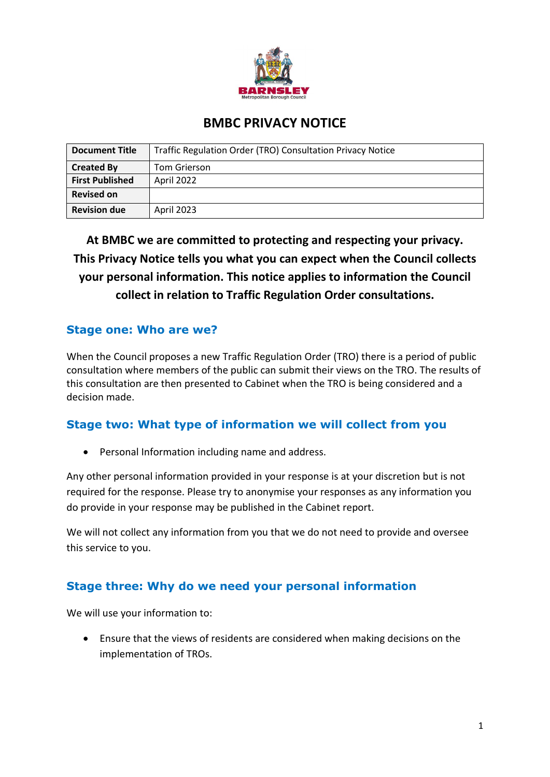

# **BMBC PRIVACY NOTICE**

| Document Title         | Traffic Regulation Order (TRO) Consultation Privacy Notice |
|------------------------|------------------------------------------------------------|
| <b>Created By</b>      | Tom Grierson                                               |
| <b>First Published</b> | April 2022                                                 |
| <b>Revised on</b>      |                                                            |
| <b>Revision due</b>    | April 2023                                                 |

**At BMBC we are committed to protecting and respecting your privacy. This Privacy Notice tells you what you can expect when the Council collects your personal information. This notice applies to information the Council collect in relation to Traffic Regulation Order consultations.**

## **Stage one: Who are we?**

When the Council proposes a new Traffic Regulation Order (TRO) there is a period of public consultation where members of the public can submit their views on the TRO. The results of this consultation are then presented to Cabinet when the TRO is being considered and a decision made.

#### **Stage two: What type of information we will collect from you**

• Personal Information including name and address.

Any other personal information provided in your response is at your discretion but is not required for the response. Please try to anonymise your responses as any information you do provide in your response may be published in the Cabinet report.

We will not collect any information from you that we do not need to provide and oversee this service to you.

# **Stage three: Why do we need your personal information**

We will use your information to:

• Ensure that the views of residents are considered when making decisions on the implementation of TROs.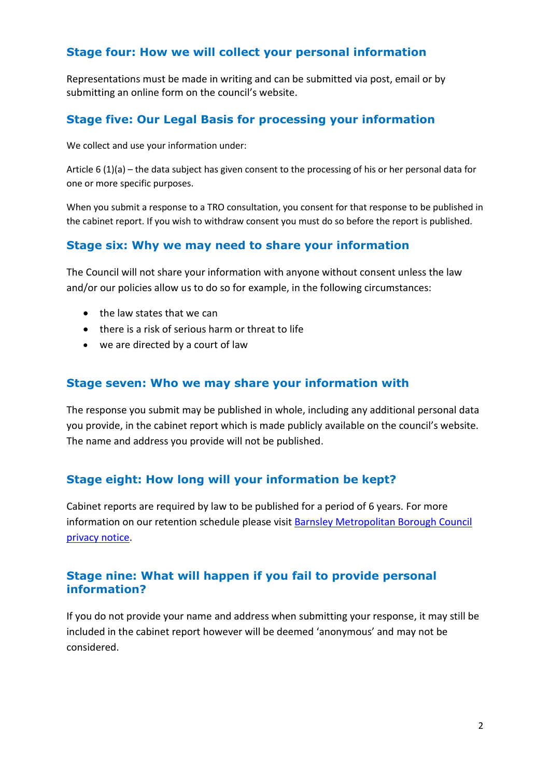#### **Stage four: How we will collect your personal information**

Representations must be made in writing and can be submitted via post, email or by submitting an online form on the council's website.

## **Stage five: Our Legal Basis for processing your information**

We collect and use your information under:

Article 6 (1)(a) – the data subject has given consent to the processing of his or her personal data for one or more specific purposes.

When you submit a response to a TRO consultation, you consent for that response to be published in the cabinet report. If you wish to withdraw consent you must do so before the report is published.

## **Stage six: Why we may need to share your information**

The Council will not share your information with anyone without consent unless the law and/or our policies allow us to do so for example, in the following circumstances:

- the law states that we can
- there is a risk of serious harm or threat to life
- we are directed by a court of law

#### **Stage seven: Who we may share your information with**

The response you submit may be published in whole, including any additional personal data you provide, in the cabinet report which is made publicly available on the council's website. The name and address you provide will not be published.

#### **Stage eight: How long will your information be kept?**

Cabinet reports are required by law to be published for a period of 6 years. For more information on our retention schedule please visi[t Barnsley Metropolitan Borough Council](https://www.barnsley.gov.uk/services/information-and-privacy/your-privacy/)  [privacy notice.](https://www.barnsley.gov.uk/services/information-and-privacy/your-privacy/)

## **Stage nine: What will happen if you fail to provide personal information?**

If you do not provide your name and address when submitting your response, it may still be included in the cabinet report however will be deemed 'anonymous' and may not be considered.